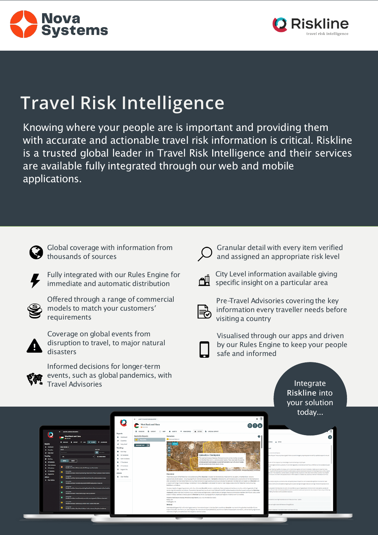



# **Travel Risk Intelligence**

Knowing where your people are is important and providing them with accurate and actionable travel risk information is critical. Riskline is a trusted global leader in Travel Risk Intelligence and their services are available fully integrated through our web and mobile applications.



Global coverage with information from thousands of sources



Fully integrated with our Rules Engine for immediate and automatic distribution



Offered through a range of commercial models to match your customers' requirements



Coverage on global events from disruption to travel, to major natural disasters



Informed decisions for longer-term events, such as global pandemics, with Travel Advisories

Granular detail with every item verified and assigned an appropriate risk level



City Level information available giving specific insight on a particular area



Pre-Travel Advisories covering the key information every traveller needs before visitinga country



Visualised through our apps and driven by our Rules Engine to keep your people safe and informed

> Integrate **Riskline** into your solution today...